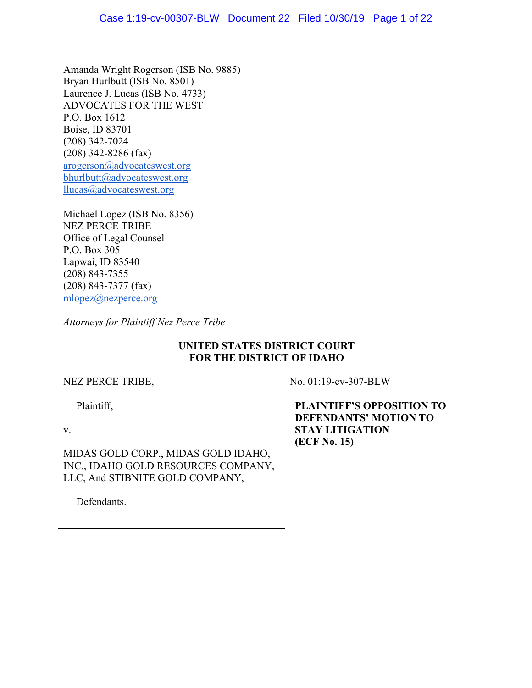Amanda Wright Rogerson (ISB No. 9885) Bryan Hurlbutt (ISB No. 8501) Laurence J. Lucas (ISB No. 4733) ADVOCATES FOR THE WEST P.O. Box 1612 Boise, ID 83701 (208) 342-7024 (208) 342-8286 (fax) arogerson@advocateswest.org bhurlbutt@advocateswest.org llucas@advocateswest.org

Michael Lopez (ISB No. 8356) NEZ PERCE TRIBE Office of Legal Counsel P.O. Box 305 Lapwai, ID 83540 (208) 843-7355 (208) 843-7377 (fax) mlopez@nezperce.org

*Attorneys for Plaintiff Nez Perce Tribe*

# **UNITED STATES DISTRICT COURT FOR THE DISTRICT OF IDAHO**

NEZ PERCE TRIBE,

Plaintiff,

v.

MIDAS GOLD CORP., MIDAS GOLD IDAHO, INC., IDAHO GOLD RESOURCES COMPANY, LLC, And STIBNITE GOLD COMPANY,

Defendants.

No. 01:19-cv-307-BLW

 **PLAINTIFF'S OPPOSITION TO DEFENDANTS' MOTION TO STAY LITIGATION (ECF No. 15)**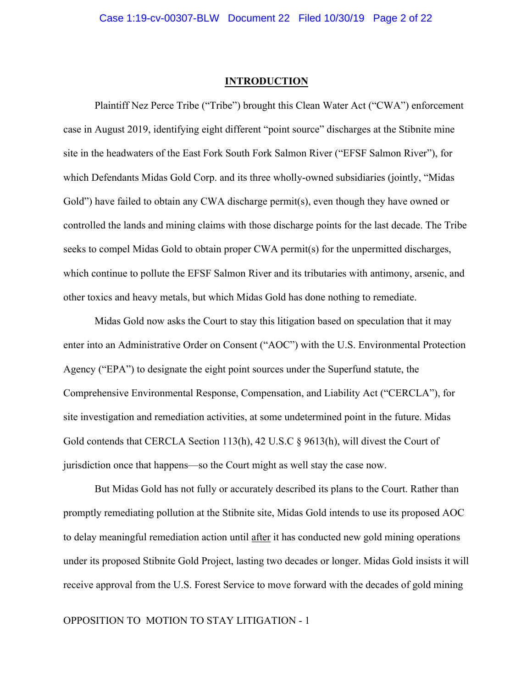## **INTRODUCTION**

Plaintiff Nez Perce Tribe ("Tribe") brought this Clean Water Act ("CWA") enforcement case in August 2019, identifying eight different "point source" discharges at the Stibnite mine site in the headwaters of the East Fork South Fork Salmon River ("EFSF Salmon River"), for which Defendants Midas Gold Corp. and its three wholly-owned subsidiaries (jointly, "Midas Gold") have failed to obtain any CWA discharge permit(s), even though they have owned or controlled the lands and mining claims with those discharge points for the last decade. The Tribe seeks to compel Midas Gold to obtain proper CWA permit(s) for the unpermitted discharges, which continue to pollute the EFSF Salmon River and its tributaries with antimony, arsenic, and other toxics and heavy metals, but which Midas Gold has done nothing to remediate.

Midas Gold now asks the Court to stay this litigation based on speculation that it may enter into an Administrative Order on Consent ("AOC") with the U.S. Environmental Protection Agency ("EPA") to designate the eight point sources under the Superfund statute, the Comprehensive Environmental Response, Compensation, and Liability Act ("CERCLA"), for site investigation and remediation activities, at some undetermined point in the future. Midas Gold contends that CERCLA Section 113(h), 42 U.S.C § 9613(h), will divest the Court of jurisdiction once that happens—so the Court might as well stay the case now.

But Midas Gold has not fully or accurately described its plans to the Court. Rather than promptly remediating pollution at the Stibnite site, Midas Gold intends to use its proposed AOC to delay meaningful remediation action until after it has conducted new gold mining operations under its proposed Stibnite Gold Project, lasting two decades or longer. Midas Gold insists it will receive approval from the U.S. Forest Service to move forward with the decades of gold mining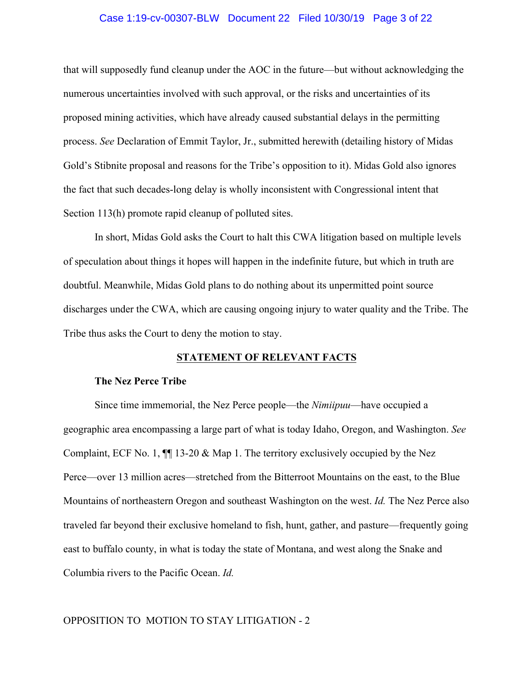## Case 1:19-cv-00307-BLW Document 22 Filed 10/30/19 Page 3 of 22

that will supposedly fund cleanup under the AOC in the future—but without acknowledging the numerous uncertainties involved with such approval, or the risks and uncertainties of its proposed mining activities, which have already caused substantial delays in the permitting process. *See* Declaration of Emmit Taylor, Jr., submitted herewith (detailing history of Midas Gold's Stibnite proposal and reasons for the Tribe's opposition to it). Midas Gold also ignores the fact that such decades-long delay is wholly inconsistent with Congressional intent that Section 113(h) promote rapid cleanup of polluted sites.

In short, Midas Gold asks the Court to halt this CWA litigation based on multiple levels of speculation about things it hopes will happen in the indefinite future, but which in truth are doubtful. Meanwhile, Midas Gold plans to do nothing about its unpermitted point source discharges under the CWA, which are causing ongoing injury to water quality and the Tribe. The Tribe thus asks the Court to deny the motion to stay.

## **STATEMENT OF RELEVANT FACTS**

#### **The Nez Perce Tribe**

Since time immemorial, the Nez Perce people—the *Nimiipuu*—have occupied a geographic area encompassing a large part of what is today Idaho, Oregon, and Washington. *See* Complaint, ECF No. 1,  $\P$  13-20 & Map 1. The territory exclusively occupied by the Nez Perce—over 13 million acres—stretched from the Bitterroot Mountains on the east, to the Blue Mountains of northeastern Oregon and southeast Washington on the west. *Id.* The Nez Perce also traveled far beyond their exclusive homeland to fish, hunt, gather, and pasture—frequently going east to buffalo county, in what is today the state of Montana, and west along the Snake and Columbia rivers to the Pacific Ocean. *Id.*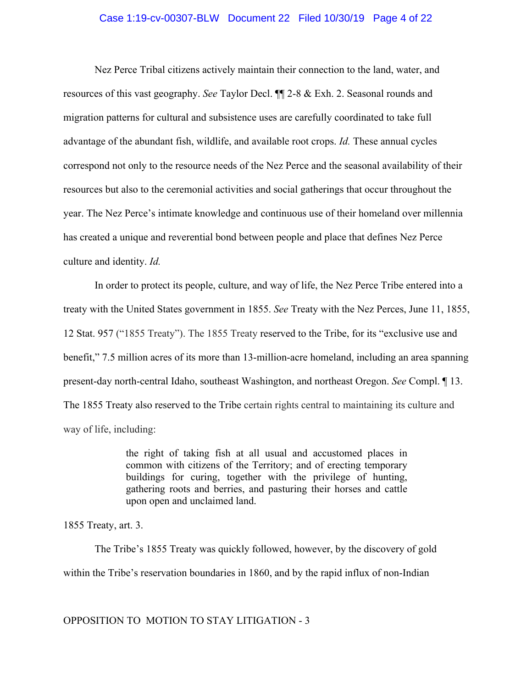## Case 1:19-cv-00307-BLW Document 22 Filed 10/30/19 Page 4 of 22

Nez Perce Tribal citizens actively maintain their connection to the land, water, and resources of this vast geography. *See* Taylor Decl. ¶¶ 2-8 & Exh. 2. Seasonal rounds and migration patterns for cultural and subsistence uses are carefully coordinated to take full advantage of the abundant fish, wildlife, and available root crops. *Id.* These annual cycles correspond not only to the resource needs of the Nez Perce and the seasonal availability of their resources but also to the ceremonial activities and social gatherings that occur throughout the year. The Nez Perce's intimate knowledge and continuous use of their homeland over millennia has created a unique and reverential bond between people and place that defines Nez Perce culture and identity. *Id.*

In order to protect its people, culture, and way of life, the Nez Perce Tribe entered into a treaty with the United States government in 1855. *See* Treaty with the Nez Perces, June 11, 1855, 12 Stat. 957 ("1855 Treaty"). The 1855 Treaty reserved to the Tribe, for its "exclusive use and benefit," 7.5 million acres of its more than 13-million-acre homeland, including an area spanning present-day north-central Idaho, southeast Washington, and northeast Oregon. *See* Compl. ¶ 13. The 1855 Treaty also reserved to the Tribe certain rights central to maintaining its culture and way of life, including:

> the right of taking fish at all usual and accustomed places in common with citizens of the Territory; and of erecting temporary buildings for curing, together with the privilege of hunting, gathering roots and berries, and pasturing their horses and cattle upon open and unclaimed land.

1855 Treaty, art. 3.

The Tribe's 1855 Treaty was quickly followed, however, by the discovery of gold within the Tribe's reservation boundaries in 1860, and by the rapid influx of non-Indian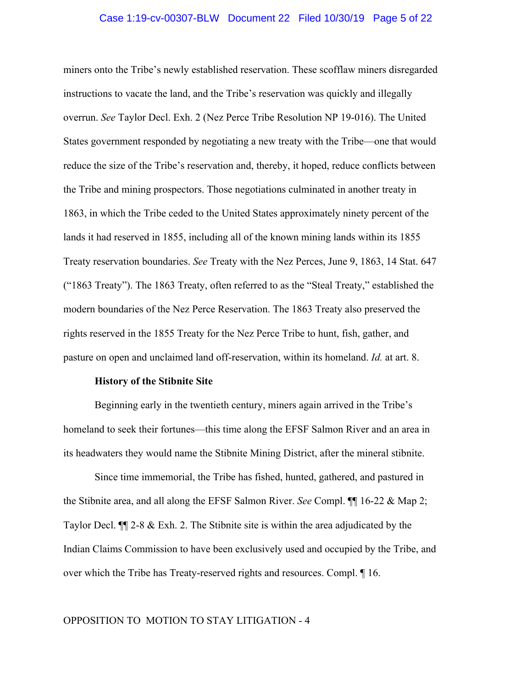## Case 1:19-cv-00307-BLW Document 22 Filed 10/30/19 Page 5 of 22

miners onto the Tribe's newly established reservation. These scofflaw miners disregarded instructions to vacate the land, and the Tribe's reservation was quickly and illegally overrun. *See* Taylor Decl. Exh. 2 (Nez Perce Tribe Resolution NP 19-016). The United States government responded by negotiating a new treaty with the Tribe—one that would reduce the size of the Tribe's reservation and, thereby, it hoped, reduce conflicts between the Tribe and mining prospectors. Those negotiations culminated in another treaty in 1863, in which the Tribe ceded to the United States approximately ninety percent of the lands it had reserved in 1855, including all of the known mining lands within its 1855 Treaty reservation boundaries. *See* Treaty with the Nez Perces, June 9, 1863, 14 Stat. 647 ("1863 Treaty"). The 1863 Treaty, often referred to as the "Steal Treaty," established the modern boundaries of the Nez Perce Reservation. The 1863 Treaty also preserved the rights reserved in the 1855 Treaty for the Nez Perce Tribe to hunt, fish, gather, and pasture on open and unclaimed land off-reservation, within its homeland. *Id.* at art. 8.

#### **History of the Stibnite Site**

Beginning early in the twentieth century, miners again arrived in the Tribe's homeland to seek their fortunes—this time along the EFSF Salmon River and an area in its headwaters they would name the Stibnite Mining District, after the mineral stibnite.

Since time immemorial, the Tribe has fished, hunted, gathered, and pastured in the Stibnite area, and all along the EFSF Salmon River. *See* Compl. ¶¶ 16-22 & Map 2; Taylor Decl. ¶¶ 2-8 & Exh. 2. The Stibnite site is within the area adjudicated by the Indian Claims Commission to have been exclusively used and occupied by the Tribe, and over which the Tribe has Treaty-reserved rights and resources. Compl. ¶ 16.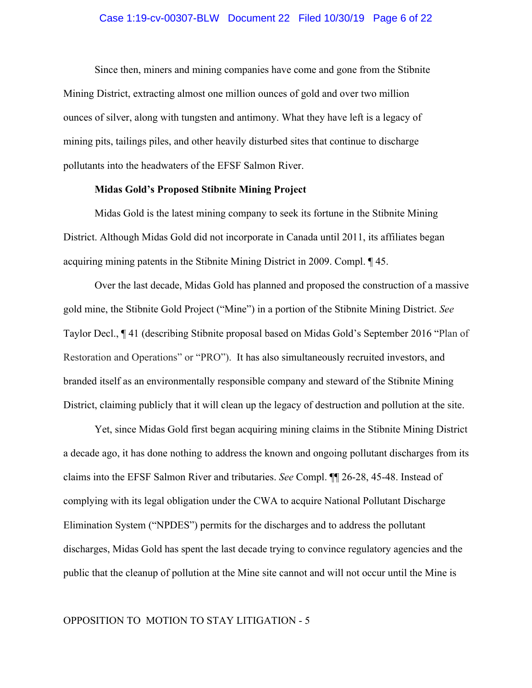## Case 1:19-cv-00307-BLW Document 22 Filed 10/30/19 Page 6 of 22

Since then, miners and mining companies have come and gone from the Stibnite Mining District, extracting almost one million ounces of gold and over two million ounces of silver, along with tungsten and antimony. What they have left is a legacy of mining pits, tailings piles, and other heavily disturbed sites that continue to discharge pollutants into the headwaters of the EFSF Salmon River.

## **Midas Gold's Proposed Stibnite Mining Project**

Midas Gold is the latest mining company to seek its fortune in the Stibnite Mining District. Although Midas Gold did not incorporate in Canada until 2011, its affiliates began acquiring mining patents in the Stibnite Mining District in 2009. Compl. ¶ 45.

Over the last decade, Midas Gold has planned and proposed the construction of a massive gold mine, the Stibnite Gold Project ("Mine") in a portion of the Stibnite Mining District. *See* Taylor Decl., ¶ 41 (describing Stibnite proposal based on Midas Gold's September 2016 "Plan of Restoration and Operations" or "PRO"). It has also simultaneously recruited investors, and branded itself as an environmentally responsible company and steward of the Stibnite Mining District, claiming publicly that it will clean up the legacy of destruction and pollution at the site.

Yet, since Midas Gold first began acquiring mining claims in the Stibnite Mining District a decade ago, it has done nothing to address the known and ongoing pollutant discharges from its claims into the EFSF Salmon River and tributaries. *See* Compl. ¶¶ 26-28, 45-48. Instead of complying with its legal obligation under the CWA to acquire National Pollutant Discharge Elimination System ("NPDES") permits for the discharges and to address the pollutant discharges, Midas Gold has spent the last decade trying to convince regulatory agencies and the public that the cleanup of pollution at the Mine site cannot and will not occur until the Mine is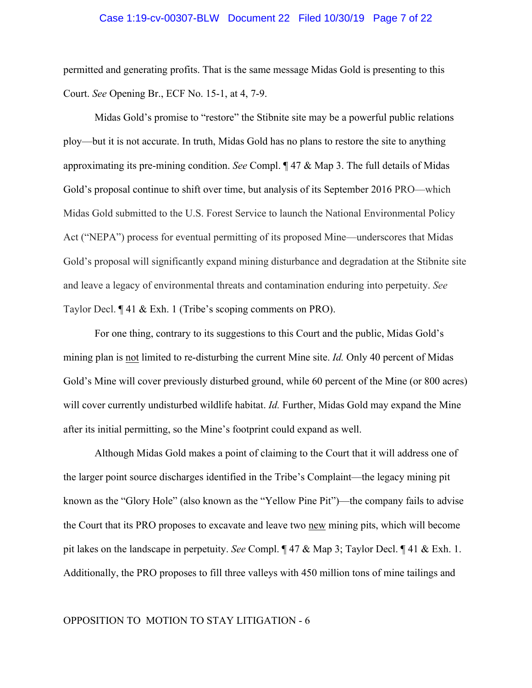## Case 1:19-cv-00307-BLW Document 22 Filed 10/30/19 Page 7 of 22

permitted and generating profits. That is the same message Midas Gold is presenting to this Court. *See* Opening Br., ECF No. 15-1, at 4, 7-9.

Midas Gold's promise to "restore" the Stibnite site may be a powerful public relations ploy—but it is not accurate. In truth, Midas Gold has no plans to restore the site to anything approximating its pre-mining condition. *See* Compl. ¶ 47 & Map 3. The full details of Midas Gold's proposal continue to shift over time, but analysis of its September 2016 PRO—which Midas Gold submitted to the U.S. Forest Service to launch the National Environmental Policy Act ("NEPA") process for eventual permitting of its proposed Mine—underscores that Midas Gold's proposal will significantly expand mining disturbance and degradation at the Stibnite site and leave a legacy of environmental threats and contamination enduring into perpetuity. *See* Taylor Decl. ¶ 41 & Exh. 1 (Tribe's scoping comments on PRO).

For one thing, contrary to its suggestions to this Court and the public, Midas Gold's mining plan is not limited to re-disturbing the current Mine site. *Id.* Only 40 percent of Midas Gold's Mine will cover previously disturbed ground, while 60 percent of the Mine (or 800 acres) will cover currently undisturbed wildlife habitat. *Id.* Further, Midas Gold may expand the Mine after its initial permitting, so the Mine's footprint could expand as well.

Although Midas Gold makes a point of claiming to the Court that it will address one of the larger point source discharges identified in the Tribe's Complaint—the legacy mining pit known as the "Glory Hole" (also known as the "Yellow Pine Pit")—the company fails to advise the Court that its PRO proposes to excavate and leave two new mining pits, which will become pit lakes on the landscape in perpetuity. *See* Compl. ¶ 47 & Map 3; Taylor Decl. ¶ 41 & Exh. 1. Additionally, the PRO proposes to fill three valleys with 450 million tons of mine tailings and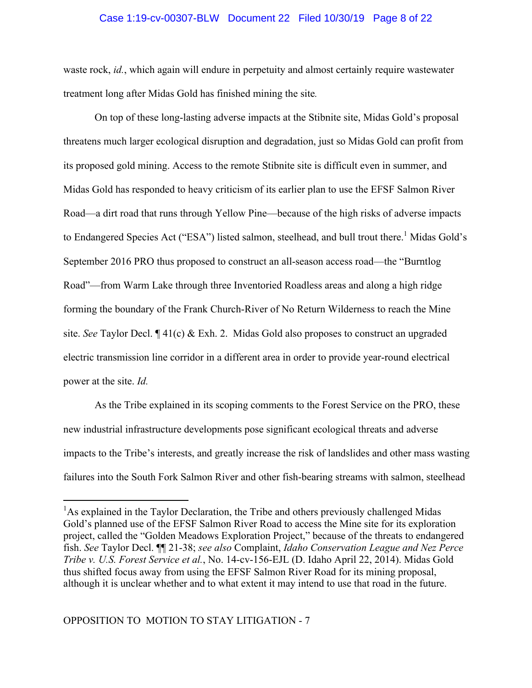## Case 1:19-cv-00307-BLW Document 22 Filed 10/30/19 Page 8 of 22

waste rock, *id.*, which again will endure in perpetuity and almost certainly require wastewater treatment long after Midas Gold has finished mining the site*.*

On top of these long-lasting adverse impacts at the Stibnite site, Midas Gold's proposal threatens much larger ecological disruption and degradation, just so Midas Gold can profit from its proposed gold mining. Access to the remote Stibnite site is difficult even in summer, and Midas Gold has responded to heavy criticism of its earlier plan to use the EFSF Salmon River Road—a dirt road that runs through Yellow Pine—because of the high risks of adverse impacts to Endangered Species Act ("ESA") listed salmon, steelhead, and bull trout there.<sup>1</sup> Midas Gold's September 2016 PRO thus proposed to construct an all-season access road—the "Burntlog Road"—from Warm Lake through three Inventoried Roadless areas and along a high ridge forming the boundary of the Frank Church-River of No Return Wilderness to reach the Mine site. *See* Taylor Decl. ¶ 41(c) & Exh. 2. Midas Gold also proposes to construct an upgraded electric transmission line corridor in a different area in order to provide year-round electrical power at the site. *Id.*

As the Tribe explained in its scoping comments to the Forest Service on the PRO, these new industrial infrastructure developments pose significant ecological threats and adverse impacts to the Tribe's interests, and greatly increase the risk of landslides and other mass wasting failures into the South Fork Salmon River and other fish-bearing streams with salmon, steelhead

<sup>&</sup>lt;sup>1</sup>As explained in the Taylor Declaration, the Tribe and others previously challenged Midas Gold's planned use of the EFSF Salmon River Road to access the Mine site for its exploration project, called the "Golden Meadows Exploration Project," because of the threats to endangered fish. *See* Taylor Decl. ¶¶ 21-38; *see also* Complaint, *Idaho Conservation League and Nez Perce Tribe v. U.S. Forest Service et al.*, No. 14-cv-156-EJL (D. Idaho April 22, 2014). Midas Gold thus shifted focus away from using the EFSF Salmon River Road for its mining proposal, although it is unclear whether and to what extent it may intend to use that road in the future.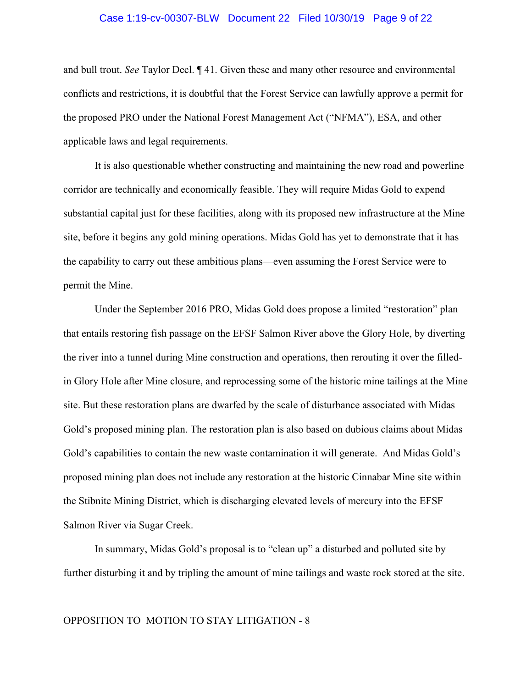## Case 1:19-cv-00307-BLW Document 22 Filed 10/30/19 Page 9 of 22

and bull trout. *See* Taylor Decl. ¶ 41. Given these and many other resource and environmental conflicts and restrictions, it is doubtful that the Forest Service can lawfully approve a permit for the proposed PRO under the National Forest Management Act ("NFMA"), ESA, and other applicable laws and legal requirements.

It is also questionable whether constructing and maintaining the new road and powerline corridor are technically and economically feasible. They will require Midas Gold to expend substantial capital just for these facilities, along with its proposed new infrastructure at the Mine site, before it begins any gold mining operations. Midas Gold has yet to demonstrate that it has the capability to carry out these ambitious plans—even assuming the Forest Service were to permit the Mine.

Under the September 2016 PRO, Midas Gold does propose a limited "restoration" plan that entails restoring fish passage on the EFSF Salmon River above the Glory Hole, by diverting the river into a tunnel during Mine construction and operations, then rerouting it over the filledin Glory Hole after Mine closure, and reprocessing some of the historic mine tailings at the Mine site. But these restoration plans are dwarfed by the scale of disturbance associated with Midas Gold's proposed mining plan. The restoration plan is also based on dubious claims about Midas Gold's capabilities to contain the new waste contamination it will generate. And Midas Gold's proposed mining plan does not include any restoration at the historic Cinnabar Mine site within the Stibnite Mining District, which is discharging elevated levels of mercury into the EFSF Salmon River via Sugar Creek.

In summary, Midas Gold's proposal is to "clean up" a disturbed and polluted site by further disturbing it and by tripling the amount of mine tailings and waste rock stored at the site.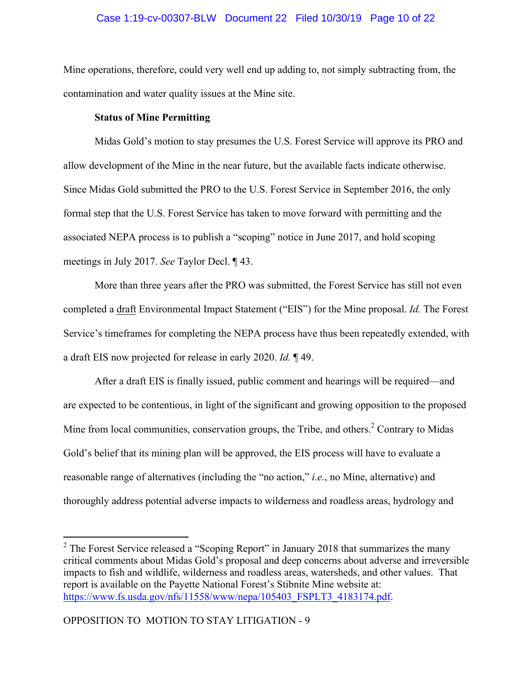## Case 1:19-cv-00307-BLW Document 22 Filed 10/30/19 Page 10 of 22

Mine operations, therefore, could very well end up adding to, not simply subtracting from, the contamination and water quality issues at the Mine site.

## **Status of Mine Permitting**

Midas Gold's motion to stay presumes the U.S. Forest Service will approve its PRO and allow development of the Mine in the near future, but the available facts indicate otherwise. Since Midas Gold submitted the PRO to the U.S. Forest Service in September 2016, the only formal step that the U.S. Forest Service has taken to move forward with permitting and the associated NEPA process is to publish a "scoping" notice in June 2017, and hold scoping meetings in July 2017. *See* Taylor Decl. ¶ 43.

More than three years after the PRO was submitted, the Forest Service has still not even completed a draft Environmental Impact Statement ("EIS") for the Mine proposal. *Id.* The Forest Service's timeframes for completing the NEPA process have thus been repeatedly extended, with a draft EIS now projected for release in early 2020. *Id.* ¶ 49.

After a draft EIS is finally issued, public comment and hearings will be required—and are expected to be contentious, in light of the significant and growing opposition to the proposed Mine from local communities, conservation groups, the Tribe, and others.<sup>2</sup> Contrary to Midas Gold's belief that its mining plan will be approved, the EIS process will have to evaluate a reasonable range of alternatives (including the "no action," *i.e.*, no Mine, alternative) and thoroughly address potential adverse impacts to wilderness and roadless areas, hydrology and

 $2$  The Forest Service released a "Scoping Report" in January 2018 that summarizes the many critical comments about Midas Gold's proposal and deep concerns about adverse and irreversible impacts to fish and wildlife, wilderness and roadless areas, watersheds, and other values. That report is available on the Payette National Forest's Stibnite Mine website at: https://www.fs.usda.gov/nfs/11558/www/nepa/105403\_FSPLT3\_4183174.pdf.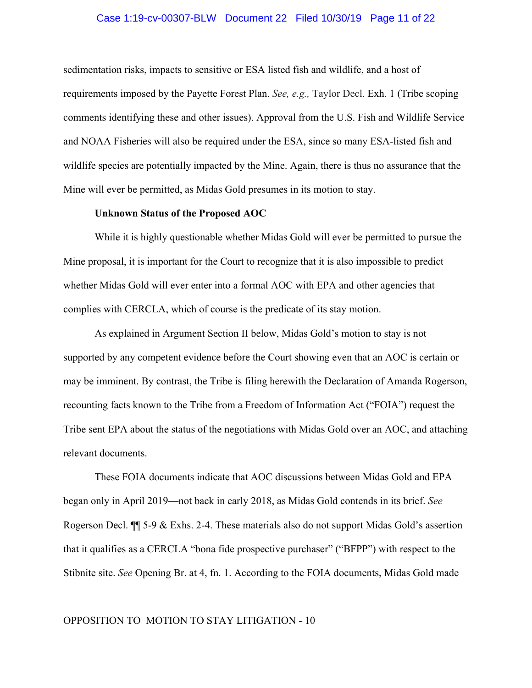## Case 1:19-cv-00307-BLW Document 22 Filed 10/30/19 Page 11 of 22

sedimentation risks, impacts to sensitive or ESA listed fish and wildlife, and a host of requirements imposed by the Payette Forest Plan. *See, e.g.,* Taylor Decl. Exh. 1 (Tribe scoping comments identifying these and other issues). Approval from the U.S. Fish and Wildlife Service and NOAA Fisheries will also be required under the ESA, since so many ESA-listed fish and wildlife species are potentially impacted by the Mine. Again, there is thus no assurance that the Mine will ever be permitted, as Midas Gold presumes in its motion to stay.

#### **Unknown Status of the Proposed AOC**

While it is highly questionable whether Midas Gold will ever be permitted to pursue the Mine proposal, it is important for the Court to recognize that it is also impossible to predict whether Midas Gold will ever enter into a formal AOC with EPA and other agencies that complies with CERCLA, which of course is the predicate of its stay motion.

As explained in Argument Section II below, Midas Gold's motion to stay is not supported by any competent evidence before the Court showing even that an AOC is certain or may be imminent. By contrast, the Tribe is filing herewith the Declaration of Amanda Rogerson, recounting facts known to the Tribe from a Freedom of Information Act ("FOIA") request the Tribe sent EPA about the status of the negotiations with Midas Gold over an AOC, and attaching relevant documents.

These FOIA documents indicate that AOC discussions between Midas Gold and EPA began only in April 2019—not back in early 2018, as Midas Gold contends in its brief. *See* Rogerson Decl. ¶¶ 5-9 & Exhs. 2-4. These materials also do not support Midas Gold's assertion that it qualifies as a CERCLA "bona fide prospective purchaser" ("BFPP") with respect to the Stibnite site. *See* Opening Br. at 4, fn. 1. According to the FOIA documents, Midas Gold made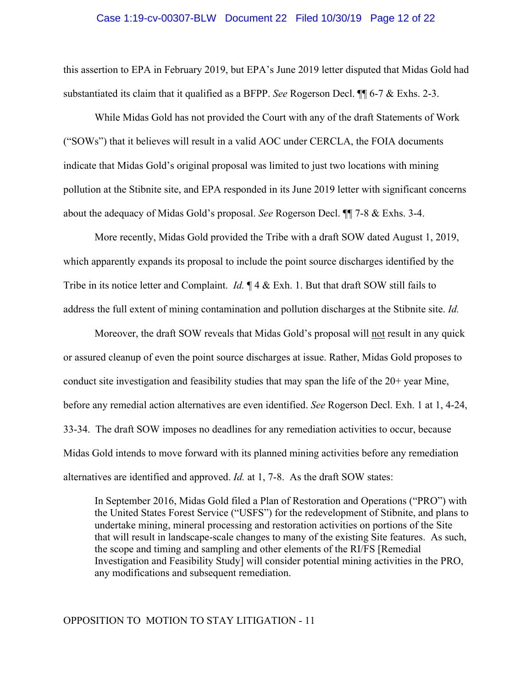## Case 1:19-cv-00307-BLW Document 22 Filed 10/30/19 Page 12 of 22

this assertion to EPA in February 2019, but EPA's June 2019 letter disputed that Midas Gold had substantiated its claim that it qualified as a BFPP. *See* Rogerson Decl. ¶¶ 6-7 & Exhs. 2-3.

While Midas Gold has not provided the Court with any of the draft Statements of Work ("SOWs") that it believes will result in a valid AOC under CERCLA, the FOIA documents indicate that Midas Gold's original proposal was limited to just two locations with mining pollution at the Stibnite site, and EPA responded in its June 2019 letter with significant concerns about the adequacy of Midas Gold's proposal. *See* Rogerson Decl. ¶¶ 7-8 & Exhs. 3-4.

More recently, Midas Gold provided the Tribe with a draft SOW dated August 1, 2019, which apparently expands its proposal to include the point source discharges identified by the Tribe in its notice letter and Complaint. *Id.* ¶ 4 & Exh. 1. But that draft SOW still fails to address the full extent of mining contamination and pollution discharges at the Stibnite site. *Id.*

Moreover, the draft SOW reveals that Midas Gold's proposal will not result in any quick or assured cleanup of even the point source discharges at issue. Rather, Midas Gold proposes to conduct site investigation and feasibility studies that may span the life of the 20+ year Mine, before any remedial action alternatives are even identified. *See* Rogerson Decl. Exh. 1 at 1, 4-24, 33-34. The draft SOW imposes no deadlines for any remediation activities to occur, because Midas Gold intends to move forward with its planned mining activities before any remediation alternatives are identified and approved. *Id.* at 1, 7-8. As the draft SOW states:

In September 2016, Midas Gold filed a Plan of Restoration and Operations ("PRO") with the United States Forest Service ("USFS") for the redevelopment of Stibnite, and plans to undertake mining, mineral processing and restoration activities on portions of the Site that will result in landscape-scale changes to many of the existing Site features. As such, the scope and timing and sampling and other elements of the RI/FS [Remedial Investigation and Feasibility Study] will consider potential mining activities in the PRO, any modifications and subsequent remediation.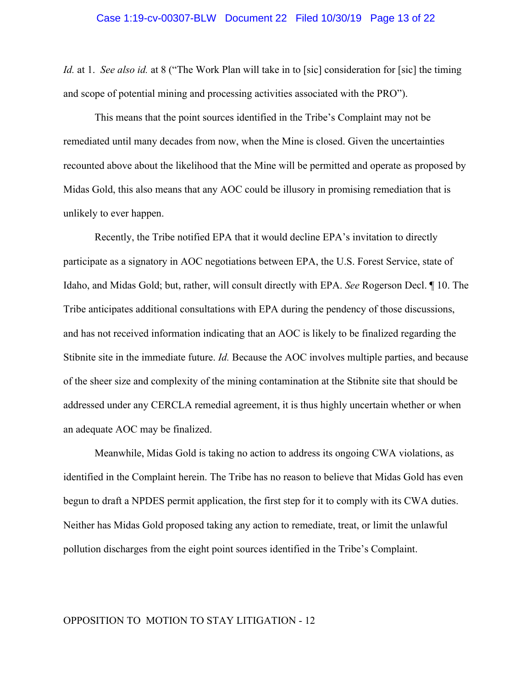*Id.* at 1. *See also id.* at 8 ("The Work Plan will take in to [sic] consideration for [sic] the timing and scope of potential mining and processing activities associated with the PRO").

This means that the point sources identified in the Tribe's Complaint may not be remediated until many decades from now, when the Mine is closed. Given the uncertainties recounted above about the likelihood that the Mine will be permitted and operate as proposed by Midas Gold, this also means that any AOC could be illusory in promising remediation that is unlikely to ever happen.

Recently, the Tribe notified EPA that it would decline EPA's invitation to directly participate as a signatory in AOC negotiations between EPA, the U.S. Forest Service, state of Idaho, and Midas Gold; but, rather, will consult directly with EPA. *See* Rogerson Decl. ¶ 10. The Tribe anticipates additional consultations with EPA during the pendency of those discussions, and has not received information indicating that an AOC is likely to be finalized regarding the Stibnite site in the immediate future. *Id.* Because the AOC involves multiple parties, and because of the sheer size and complexity of the mining contamination at the Stibnite site that should be addressed under any CERCLA remedial agreement, it is thus highly uncertain whether or when an adequate AOC may be finalized.

Meanwhile, Midas Gold is taking no action to address its ongoing CWA violations, as identified in the Complaint herein. The Tribe has no reason to believe that Midas Gold has even begun to draft a NPDES permit application, the first step for it to comply with its CWA duties. Neither has Midas Gold proposed taking any action to remediate, treat, or limit the unlawful pollution discharges from the eight point sources identified in the Tribe's Complaint.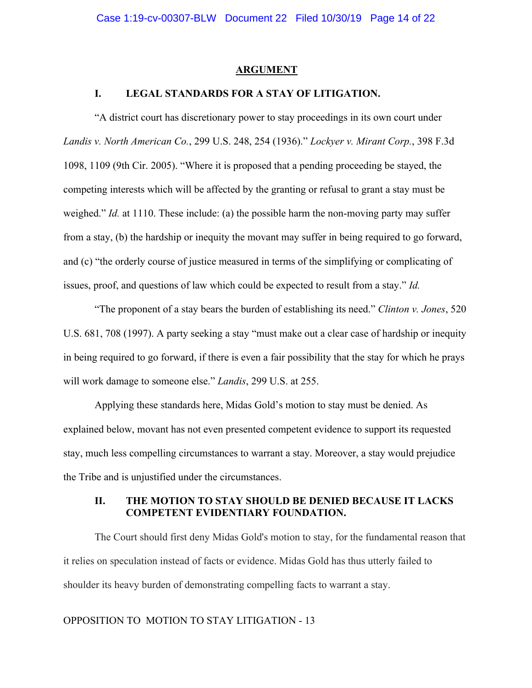#### **ARGUMENT**

## **I. LEGAL STANDARDS FOR A STAY OF LITIGATION.**

"A district court has discretionary power to stay proceedings in its own court under *Landis v. North American Co.*, 299 U.S. 248, 254 (1936)." *Lockyer v. Mirant Corp.*, 398 F.3d 1098, 1109 (9th Cir. 2005). "Where it is proposed that a pending proceeding be stayed, the competing interests which will be affected by the granting or refusal to grant a stay must be weighed." *Id.* at 1110. These include: (a) the possible harm the non-moving party may suffer from a stay, (b) the hardship or inequity the movant may suffer in being required to go forward, and (c) "the orderly course of justice measured in terms of the simplifying or complicating of issues, proof, and questions of law which could be expected to result from a stay." *Id.*

"The proponent of a stay bears the burden of establishing its need." *Clinton v. Jones*, 520 U.S. 681, 708 (1997). A party seeking a stay "must make out a clear case of hardship or inequity in being required to go forward, if there is even a fair possibility that the stay for which he prays will work damage to someone else." *Landis*, 299 U.S. at 255.

Applying these standards here, Midas Gold's motion to stay must be denied. As explained below, movant has not even presented competent evidence to support its requested stay, much less compelling circumstances to warrant a stay. Moreover, a stay would prejudice the Tribe and is unjustified under the circumstances.

## **II. THE MOTION TO STAY SHOULD BE DENIED BECAUSE IT LACKS COMPETENT EVIDENTIARY FOUNDATION.**

The Court should first deny Midas Gold's motion to stay, for the fundamental reason that it relies on speculation instead of facts or evidence. Midas Gold has thus utterly failed to shoulder its heavy burden of demonstrating compelling facts to warrant a stay.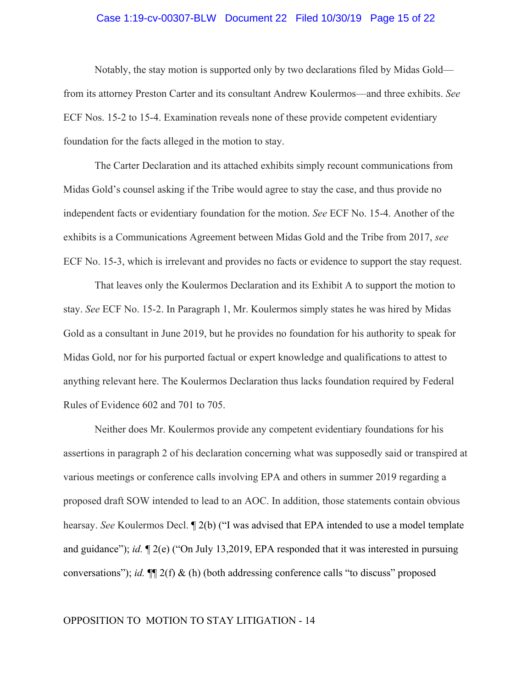## Case 1:19-cv-00307-BLW Document 22 Filed 10/30/19 Page 15 of 22

Notably, the stay motion is supported only by two declarations filed by Midas Gold from its attorney Preston Carter and its consultant Andrew Koulermos—and three exhibits. *See* ECF Nos. 15-2 to 15-4. Examination reveals none of these provide competent evidentiary foundation for the facts alleged in the motion to stay.

The Carter Declaration and its attached exhibits simply recount communications from Midas Gold's counsel asking if the Tribe would agree to stay the case, and thus provide no independent facts or evidentiary foundation for the motion. *See* ECF No. 15-4. Another of the exhibits is a Communications Agreement between Midas Gold and the Tribe from 2017, *see* ECF No. 15-3, which is irrelevant and provides no facts or evidence to support the stay request.

That leaves only the Koulermos Declaration and its Exhibit A to support the motion to stay. *See* ECF No. 15-2. In Paragraph 1, Mr. Koulermos simply states he was hired by Midas Gold as a consultant in June 2019, but he provides no foundation for his authority to speak for Midas Gold, nor for his purported factual or expert knowledge and qualifications to attest to anything relevant here. The Koulermos Declaration thus lacks foundation required by Federal Rules of Evidence 602 and 701 to 705.

Neither does Mr. Koulermos provide any competent evidentiary foundations for his assertions in paragraph 2 of his declaration concerning what was supposedly said or transpired at various meetings or conference calls involving EPA and others in summer 2019 regarding a proposed draft SOW intended to lead to an AOC. In addition, those statements contain obvious hearsay. *See* Koulermos Decl. ¶ 2(b) ("I was advised that EPA intended to use a model template and guidance"); *id.* ¶ 2(e) ("On July 13,2019, EPA responded that it was interested in pursuing conversations"); *id.* ¶¶ 2(f) & (h) (both addressing conference calls "to discuss" proposed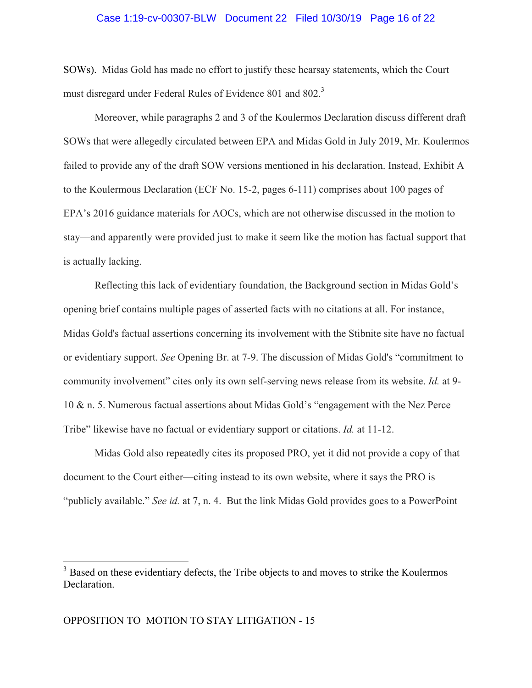## Case 1:19-cv-00307-BLW Document 22 Filed 10/30/19 Page 16 of 22

SOWs). Midas Gold has made no effort to justify these hearsay statements, which the Court must disregard under Federal Rules of Evidence 801 and 802.<sup>3</sup>

Moreover, while paragraphs 2 and 3 of the Koulermos Declaration discuss different draft SOWs that were allegedly circulated between EPA and Midas Gold in July 2019, Mr. Koulermos failed to provide any of the draft SOW versions mentioned in his declaration. Instead, Exhibit A to the Koulermous Declaration (ECF No. 15-2, pages 6-111) comprises about 100 pages of EPA's 2016 guidance materials for AOCs, which are not otherwise discussed in the motion to stay—and apparently were provided just to make it seem like the motion has factual support that is actually lacking.

Reflecting this lack of evidentiary foundation, the Background section in Midas Gold's opening brief contains multiple pages of asserted facts with no citations at all. For instance, Midas Gold's factual assertions concerning its involvement with the Stibnite site have no factual or evidentiary support. *See* Opening Br. at 7-9. The discussion of Midas Gold's "commitment to community involvement" cites only its own self-serving news release from its website. *Id.* at 9- 10 & n. 5. Numerous factual assertions about Midas Gold's "engagement with the Nez Perce Tribe" likewise have no factual or evidentiary support or citations. *Id.* at 11-12.

Midas Gold also repeatedly cites its proposed PRO, yet it did not provide a copy of that document to the Court either—citing instead to its own website, where it says the PRO is "publicly available." *See id.* at 7, n. 4. But the link Midas Gold provides goes to a PowerPoint

<sup>&</sup>lt;sup>3</sup> Based on these evidentiary defects, the Tribe objects to and moves to strike the Koulermos Declaration.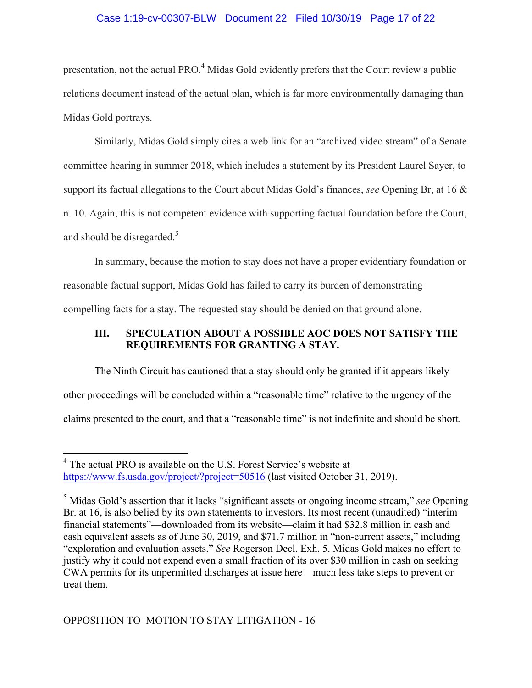## Case 1:19-cv-00307-BLW Document 22 Filed 10/30/19 Page 17 of 22

presentation, not the actual PRO.<sup>4</sup> Midas Gold evidently prefers that the Court review a public relations document instead of the actual plan, which is far more environmentally damaging than Midas Gold portrays.

Similarly, Midas Gold simply cites a web link for an "archived video stream" of a Senate committee hearing in summer 2018, which includes a statement by its President Laurel Sayer, to support its factual allegations to the Court about Midas Gold's finances, *see* Opening Br, at 16 & n. 10. Again, this is not competent evidence with supporting factual foundation before the Court, and should be disregarded.<sup>5</sup>

In summary, because the motion to stay does not have a proper evidentiary foundation or reasonable factual support, Midas Gold has failed to carry its burden of demonstrating compelling facts for a stay. The requested stay should be denied on that ground alone.

## **III. SPECULATION ABOUT A POSSIBLE AOC DOES NOT SATISFY THE REQUIREMENTS FOR GRANTING A STAY.**

The Ninth Circuit has cautioned that a stay should only be granted if it appears likely other proceedings will be concluded within a "reasonable time" relative to the urgency of the claims presented to the court, and that a "reasonable time" is not indefinite and should be short.

 <sup>4</sup> The actual PRO is available on the U.S. Forest Service's website at https://www.fs.usda.gov/project/?project=50516 (last visited October 31, 2019).

<sup>5</sup> Midas Gold's assertion that it lacks "significant assets or ongoing income stream," *see* Opening Br. at 16, is also belied by its own statements to investors. Its most recent (unaudited) "interim financial statements"—downloaded from its website—claim it had \$32.8 million in cash and cash equivalent assets as of June 30, 2019, and \$71.7 million in "non-current assets," including "exploration and evaluation assets." *See* Rogerson Decl. Exh. 5. Midas Gold makes no effort to justify why it could not expend even a small fraction of its over \$30 million in cash on seeking CWA permits for its unpermitted discharges at issue here—much less take steps to prevent or treat them.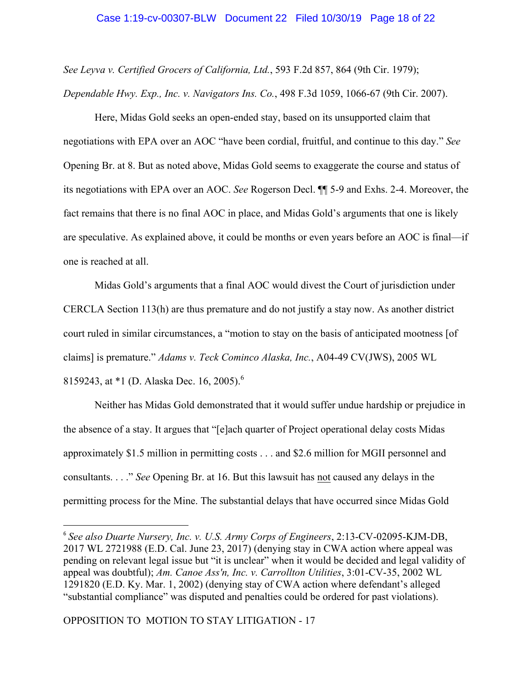*See Leyva v. Certified Grocers of California, Ltd.*, 593 F.2d 857, 864 (9th Cir. 1979); *Dependable Hwy. Exp., Inc. v. Navigators Ins. Co.*, 498 F.3d 1059, 1066-67 (9th Cir. 2007).

Here, Midas Gold seeks an open-ended stay, based on its unsupported claim that negotiations with EPA over an AOC "have been cordial, fruitful, and continue to this day." *See* Opening Br. at 8. But as noted above, Midas Gold seems to exaggerate the course and status of its negotiations with EPA over an AOC. *See* Rogerson Decl. ¶¶ 5-9 and Exhs. 2-4. Moreover, the fact remains that there is no final AOC in place, and Midas Gold's arguments that one is likely are speculative. As explained above, it could be months or even years before an AOC is final—if one is reached at all.

Midas Gold's arguments that a final AOC would divest the Court of jurisdiction under CERCLA Section 113(h) are thus premature and do not justify a stay now. As another district court ruled in similar circumstances, a "motion to stay on the basis of anticipated mootness [of claims] is premature." *Adams v. Teck Cominco Alaska, Inc.*, A04-49 CV(JWS), 2005 WL 8159243, at \*1 (D. Alaska Dec. 16, 2005).<sup>6</sup>

Neither has Midas Gold demonstrated that it would suffer undue hardship or prejudice in the absence of a stay. It argues that "[e]ach quarter of Project operational delay costs Midas approximately \$1.5 million in permitting costs . . . and \$2.6 million for MGII personnel and consultants. . . ." *See* Opening Br. at 16. But this lawsuit has not caused any delays in the permitting process for the Mine. The substantial delays that have occurred since Midas Gold

 

<sup>6</sup> *See also Duarte Nursery, Inc. v. U.S. Army Corps of Engineers*, 2:13-CV-02095-KJM-DB, 2017 WL 2721988 (E.D. Cal. June 23, 2017) (denying stay in CWA action where appeal was pending on relevant legal issue but "it is unclear" when it would be decided and legal validity of appeal was doubtful); *Am. Canoe Ass'n, Inc. v. Carrollton Utilities*, 3:01-CV-35, 2002 WL 1291820 (E.D. Ky. Mar. 1, 2002) (denying stay of CWA action where defendant's alleged "substantial compliance" was disputed and penalties could be ordered for past violations).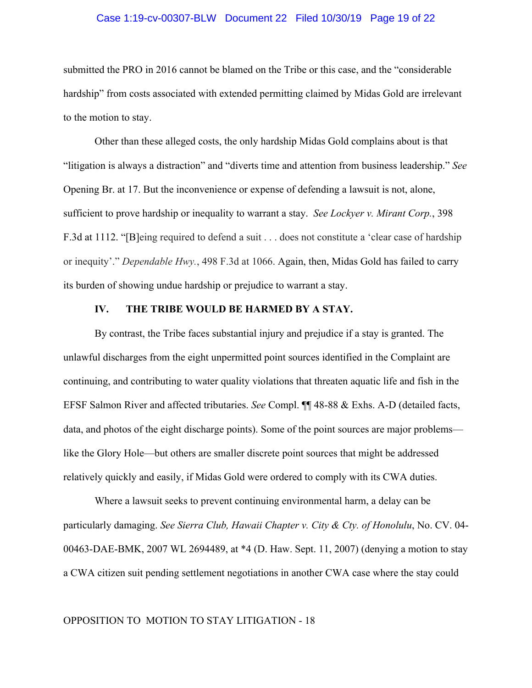## Case 1:19-cv-00307-BLW Document 22 Filed 10/30/19 Page 19 of 22

submitted the PRO in 2016 cannot be blamed on the Tribe or this case, and the "considerable hardship" from costs associated with extended permitting claimed by Midas Gold are irrelevant to the motion to stay.

Other than these alleged costs, the only hardship Midas Gold complains about is that "litigation is always a distraction" and "diverts time and attention from business leadership." *See* Opening Br. at 17. But the inconvenience or expense of defending a lawsuit is not, alone, sufficient to prove hardship or inequality to warrant a stay. *See Lockyer v. Mirant Corp.*, 398 F.3d at 1112. "[B]eing required to defend a suit . . . does not constitute a 'clear case of hardship or inequity'." *Dependable Hwy.*, 498 F.3d at 1066. Again, then, Midas Gold has failed to carry its burden of showing undue hardship or prejudice to warrant a stay.

### **IV. THE TRIBE WOULD BE HARMED BY A STAY.**

By contrast, the Tribe faces substantial injury and prejudice if a stay is granted. The unlawful discharges from the eight unpermitted point sources identified in the Complaint are continuing, and contributing to water quality violations that threaten aquatic life and fish in the EFSF Salmon River and affected tributaries. *See* Compl. ¶¶ 48-88 & Exhs. A-D (detailed facts, data, and photos of the eight discharge points). Some of the point sources are major problems like the Glory Hole—but others are smaller discrete point sources that might be addressed relatively quickly and easily, if Midas Gold were ordered to comply with its CWA duties.

Where a lawsuit seeks to prevent continuing environmental harm, a delay can be particularly damaging. *See Sierra Club, Hawaii Chapter v. City & Cty. of Honolulu*, No. CV. 04- 00463-DAE-BMK, 2007 WL 2694489, at \*4 (D. Haw. Sept. 11, 2007) (denying a motion to stay a CWA citizen suit pending settlement negotiations in another CWA case where the stay could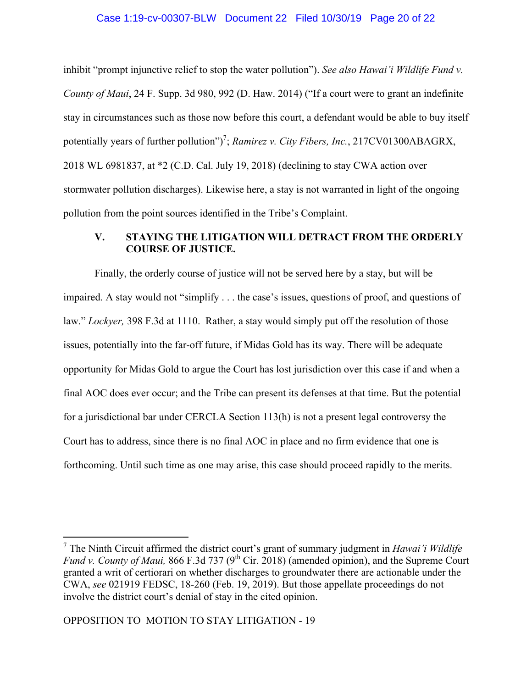## Case 1:19-cv-00307-BLW Document 22 Filed 10/30/19 Page 20 of 22

inhibit "prompt injunctive relief to stop the water pollution"). *See also Hawai'i Wildlife Fund v. County of Maui*, 24 F. Supp. 3d 980, 992 (D. Haw. 2014) ("If a court were to grant an indefinite stay in circumstances such as those now before this court, a defendant would be able to buy itself potentially years of further pollution")<sup>7</sup>; *Ramirez v. City Fibers, Inc.*, 217CV01300ABAGRX, 2018 WL 6981837, at \*2 (C.D. Cal. July 19, 2018) (declining to stay CWA action over stormwater pollution discharges). Likewise here, a stay is not warranted in light of the ongoing pollution from the point sources identified in the Tribe's Complaint.

# **V. STAYING THE LITIGATION WILL DETRACT FROM THE ORDERLY COURSE OF JUSTICE.**

Finally, the orderly course of justice will not be served here by a stay, but will be impaired. A stay would not "simplify . . . the case's issues, questions of proof, and questions of law." *Lockyer,* 398 F.3d at 1110. Rather, a stay would simply put off the resolution of those issues, potentially into the far-off future, if Midas Gold has its way. There will be adequate opportunity for Midas Gold to argue the Court has lost jurisdiction over this case if and when a final AOC does ever occur; and the Tribe can present its defenses at that time. But the potential for a jurisdictional bar under CERCLA Section 113(h) is not a present legal controversy the Court has to address, since there is no final AOC in place and no firm evidence that one is forthcoming. Until such time as one may arise, this case should proceed rapidly to the merits.

 <sup>7</sup> The Ninth Circuit affirmed the district court's grant of summary judgment in *Hawai'i Wildlife Fund v. County of Maui, 866 F.3d 737 (9<sup>th</sup> Cir. 2018) (amended opinion), and the Supreme Court* granted a writ of certiorari on whether discharges to groundwater there are actionable under the CWA, *see* 021919 FEDSC, 18-260 (Feb. 19, 2019). But those appellate proceedings do not involve the district court's denial of stay in the cited opinion.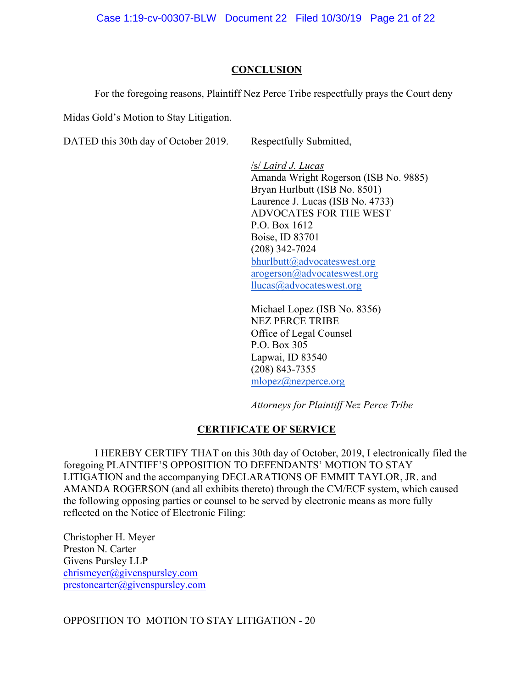# **CONCLUSION**

For the foregoing reasons, Plaintiff Nez Perce Tribe respectfully prays the Court deny

Midas Gold's Motion to Stay Litigation.

DATED this 30th day of October 2019. Respectfully Submitted,

/s/ *Laird J. Lucas* Amanda Wright Rogerson (ISB No. 9885) Bryan Hurlbutt (ISB No. 8501) Laurence J. Lucas (ISB No. 4733) ADVOCATES FOR THE WEST P.O. Box 1612 Boise, ID 83701 (208) 342-7024 bhurlbutt@advocateswest.org arogerson@advocateswest.org llucas@advocateswest.org

Michael Lopez (ISB No. 8356) NEZ PERCE TRIBE Office of Legal Counsel P.O. Box 305 Lapwai, ID 83540 (208) 843-7355 mlopez@nezperce.org

*Attorneys for Plaintiff Nez Perce Tribe*

# **CERTIFICATE OF SERVICE**

I HEREBY CERTIFY THAT on this 30th day of October, 2019, I electronically filed the foregoing PLAINTIFF'S OPPOSITION TO DEFENDANTS' MOTION TO STAY LITIGATION and the accompanying DECLARATIONS OF EMMIT TAYLOR, JR. and AMANDA ROGERSON (and all exhibits thereto) through the CM/ECF system, which caused the following opposing parties or counsel to be served by electronic means as more fully reflected on the Notice of Electronic Filing:

Christopher H. Meyer Preston N. Carter Givens Pursley LLP chrismeyer@givenspursley.com prestoncarter@givenspursley.com